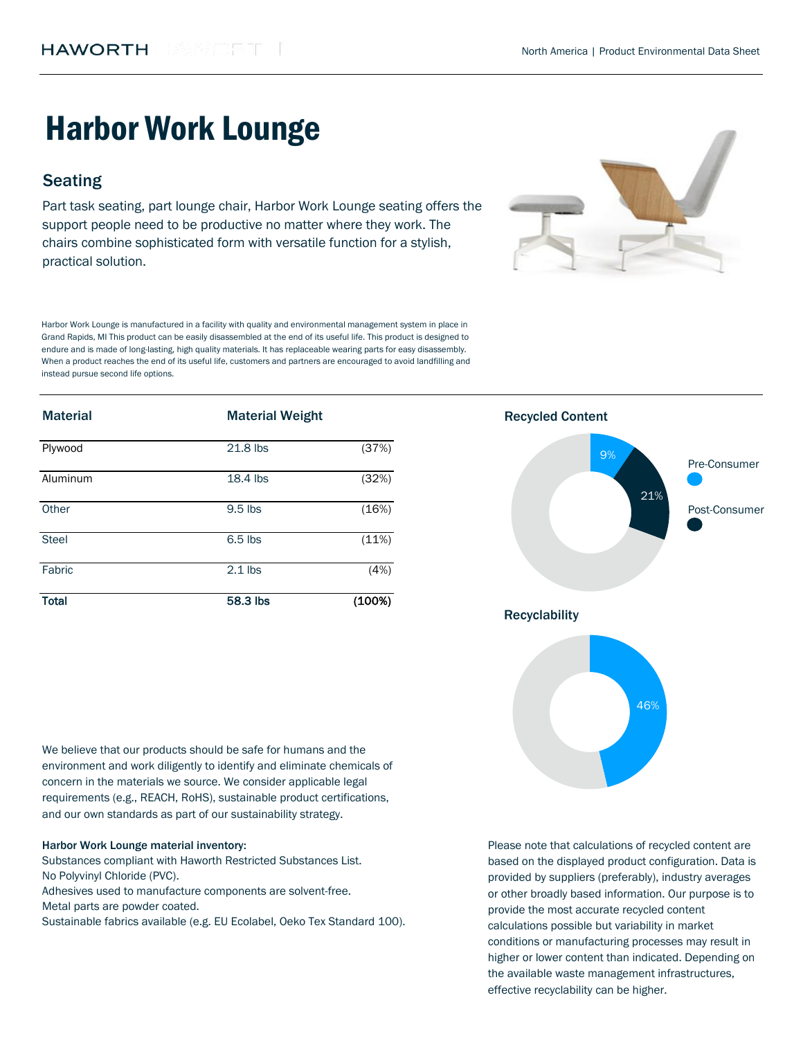# Harbor Work Lounge

# **Seating**

Part task seating, part lounge chair, Harbor Work Lounge seating offers the support people need to be productive no matter where they work. The chairs combine sophisticated form with versatile function for a stylish, practical solution.

Harbor Work Lounge is manufactured in a facility with quality and environmental management system in place in Grand Rapids, MI This product can be easily disassembled at the end of its useful life. This product is designed to endure and is made of long-lasting, high quality materials. It has replaceable wearing parts for easy disassembly. When a product reaches the end of its useful life, customers and partners are encouraged to avoid landfilling and instead pursue second life options.

| <b>Material</b> | <b>Material Weight</b> |        | <b>Recycled Content</b> |  |
|-----------------|------------------------|--------|-------------------------|--|
| Plywood         | 21.8 lbs               | (37%)  | 9%<br>Pre-Consumer      |  |
| Aluminum        | 18.4 lbs               | (32%)  |                         |  |
| Other           | 9.5 lbs                | (16%)  | 21%<br>Post-Consumer    |  |
| <b>Steel</b>    | 6.5 lbs                | (11%)  |                         |  |
| Fabric          | $2.1$ lbs              | (4%)   |                         |  |
| <b>Total</b>    | 58.3 lbs               | (100%) |                         |  |

We believe that our products should be safe for humans and the environment and work diligently to identify and eliminate chemicals of concern in the materials we source. We consider applicable legal requirements (e.g., REACH, RoHS), sustainable product certifications, and our own standards as part of our sustainability strategy.

#### Harbor Work Lounge material inventory:

Substances compliant with Haworth Restricted Substances List. No Polyvinyl Chloride (PVC).

Metal parts are powder coated. Adhesives used to manufacture components are solvent-free.

Sustainable fabrics available (e.g. EU Ecolabel, Oeko Tex Standard 100).





Please note that calculations of recycled content are based on the displayed product configuration. Data is provided by suppliers (preferably), industry averages or other broadly based information. Our purpose is to provide the most accurate recycled content calculations possible but variability in market conditions or manufacturing processes may result in higher or lower content than indicated. Depending on the available waste management infrastructures, effective recyclability can be higher.